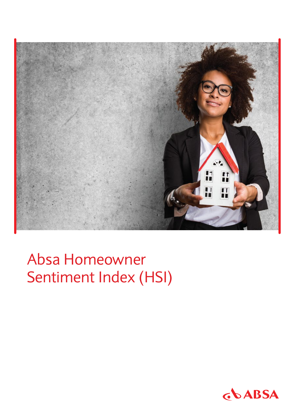

Absa Homeowner Sentiment Index (HSI)

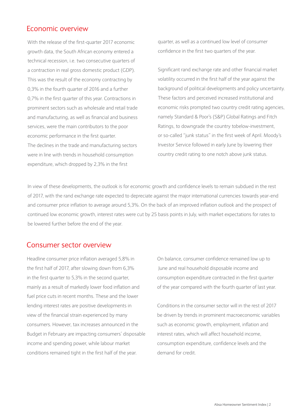#### Economic overview

With the release of the first-quarter 2017 economic growth data, the South African economy entered a technical recession, i.e. two consecutive quarters of a contraction in real gross domestic product (GDP). This was the result of the economy contracting by 0,3% in the fourth quarter of 2016 and a further 0,7% in the first quarter of this year. Contractions in prominent sectors such as wholesale and retail trade and manufacturing, as well as financial and business services, were the main contributors to the poor economic performance in the first quarter. The declines in the trade and manufacturing sectors were in line with trends in household consumption expenditure, which dropped by 2,3% in the first

quarter, as well as a continued low level of consumer confidence in the first two quarters of the year.

Significant rand exchange rate and other financial market volatility occurred in the first half of the year against the background of political developments and policy uncertainty. These factors and perceived increased institutional and economic risks prompted two country credit rating agencies, namely Standard & Poor's (S&P) Global Ratings and Fitch Ratings, to downgrade the country tobelow-investment, or so-called "junk status" in the first week of April. Moody's Investor Service followed in early June by lowering their country credit rating to one notch above junk status.

In view of these developments, the outlook is for economic growth and confidence levels to remain subdued in the rest of 2017, with the rand exchange rate expected to depreciate against the major international currencies towards year-end and consumer price inflation to average around 5,3%. On the back of an improved inflation outlook and the prospect of continued low economic growth, interest rates were cut by 25 basis points in July, with market expectations for rates to be lowered further before the end of the year.

#### Consumer sector overview

Headline consumer price inflation averaged 5,8% in the first half of 2017, after slowing down from 6,3% in the first quarter to 5,3% in the second quarter, mainly as a result of markedly lower food inflation and fuel price cuts in recent months. These and the lower lending interest rates are positive developments in view of the financial strain experienced by many consumers. However, tax increases announced in the Budget in February are impacting consumers' disposable income and spending power, while labour market conditions remained tight in the first half of the year.

On balance, consumer confidence remained low up to June and real household disposable income and consumption expenditure contracted in the first quarter of the year compared with the fourth quarter of last year.

Conditions in the consumer sector will in the rest of 2017 be driven by trends in prominent macroeconomic variables such as economic growth, employment, inflation and interest rates, which will affect household income, consumption expenditure, confidence levels and the demand for credit.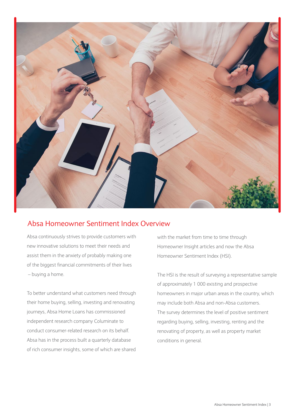

### Absa Homeowner Sentiment Index Overview

Absa continuously strives to provide customers with new innovative solutions to meet their needs and assist them in the anxiety of probably making one of the biggest financial commitments of their lives – buying a home.

To better understand what customers need through their home buying, selling, investing and renovating journeys, Absa Home Loans has commissioned independent research company Columinate to conduct consumer-related research on its behalf. Absa has in the process built a quarterly database of rich consumer insights, some of which are shared

with the market from time to time through Homeowner Insight articles and now the Absa Homeowner Sentiment Index (HSI).

The HSI is the result of surveying a representative sample of approximately 1 000 existing and prospective homeowners in major urban areas in the country, which may include both Absa and non-Absa customers. The survey determines the level of positive sentiment regarding buying, selling, investing, renting and the renovating of property, as well as property market conditions in general.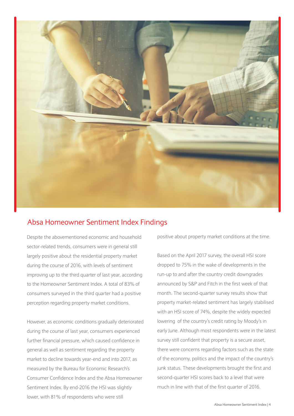

### Absa Homeowner Sentiment Index Findings

Despite the abovementioned economic and household sector-related trends, consumers were in general still largely positive about the residential property market during the course of 2016, with levels of sentiment improving up to the third quarter of last year, according to the Homeowner Sentiment Index. A total of 83% of consumers surveyed in the third quarter had a positive perception regarding property market conditions.

However, as economic conditions gradually deteriorated during the course of last year, consumers experienced further financial pressure, which caused confidence in general as well as sentiment regarding the property market to decline towards year-end and into 2017, as measured by the Bureau for Economic Research's Consumer Confidence Index and the Absa Homeowner Sentiment Index. By end-2016 the HSI was slightly lower, with 81% of respondents who were still

positive about property market conditions at the time.

Based on the April 2017 survey, the overall HSI score dropped to 75% in the wake of developments in the run-up to and after the country credit downgrades announced by S&P and Fitch in the first week of that month. The second-quarter survey results show that property market-related sentiment has largely stabilised with an HSI score of 74%, despite the widely expected lowering of the country's credit rating by Moody's in early June. Although most respondents were in the latest survey still confident that property is a secure asset, there were concerns regarding factors such as the state of the economy, politics and the impact of the country's junk status. These developments brought the first and second-quarter HSI scores back to a level that were much in line with that of the first quarter of 2016.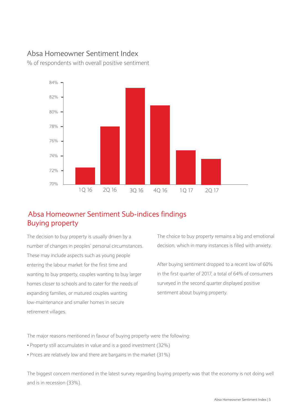#### Absa Homeowner Sentiment Index

% of respondents with overall positive sentiment



### Buying property Absa Homeowner Sentiment Sub-indices findings

The decision to buy property is usually driven by a number of changes in peoples' personal circumstances. These may include aspects such as young people entering the labour market for the first time and wanting to buy property, couples wanting to buy larger homes closer to schools and to cater for the needs of expanding families, or matured couples wanting low-maintenance and smaller homes in secure retirement villages.

The choice to buy property remains a big and emotional decision, which in many instances is filled with anxiety.

After buying sentiment dropped to a recent low of 60% in the first quarter of 2017, a total of 64% of consumers surveyed in the second quarter displayed positive sentiment about buying property.

The major reasons mentioned in favour of buying property were the following:

- Property still accumulates in value and is a good investment (32%)
- Prices are relatively low and there are bargains in the market (31%)

The biggest concern mentioned in the latest survey regarding buying property was that the economy is not doing well and is in recession (33%).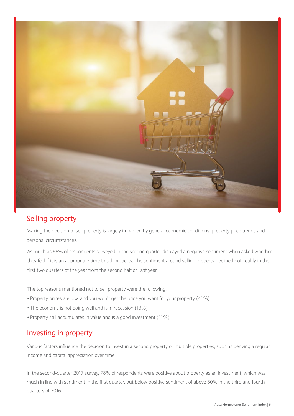

## Selling property

Making the decision to sell property is largely impacted by general economic conditions, property price trends and personal circumstances.

As much as 66% of respondents surveyed in the second quarter displayed a negative sentiment when asked whether they feel if it is an appropriate time to sell property. The sentiment around selling property declined noticeably in the first two quarters of the year from the second half of last year.

The top reasons mentioned not to sell property were the following:

- Property prices are low, and you won't get the price you want for your property (41%)
- The economy is not doing well and is in recession (13%)
- Property still accumulates in value and is a good investment (11%)

#### Investing in property

Various factors influence the decision to invest in a second property or multiple properties, such as deriving a regular income and capital appreciation over time.

In the second-quarter 2017 survey, 78% of respondents were positive about property as an investment, which was much in line with sentiment in the first quarter, but below positive sentiment of above 80% in the third and fourth quarters of 2016.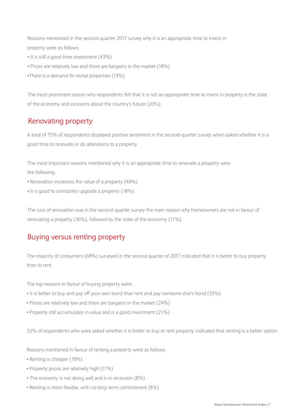Reasons mentioned in the second-quarter 2017 survey why it is an appropriate time to invest in property were as follows:

- It is still a good time investment (43%)
- Prices are relatively low and there are bargains in the market (18%)
- •There is a demand for rental properties (13%)

The most prominent reason why respondents felt that it is not an appropriate time to invest in property is the state of the economy and concerns about the country's future (20%).

## Renovating property

A total of 75% of respondents displayed positive sentiment in the second-quarter survey when asked whether it is a good time to renovate or do alterations to a property.

The most important reasons mentioned why it is an appropriate time to renovate a property were the following:

- Renovation increases the value of a property (40%)
- It is good to constantly upgrade a property (18%)

The cost of renovation was in the second-quarter survey the main reason why homeowners are not in favour of renovating a property (36%), followed by the state of the economy (11%).

### Buying versus renting property

The majority of consumers (68%) surveyed in the second quarter of 2017 indicated that it is better to buy property than to rent.

The top reasons in favour of buying property were:

- It is better to buy and pay off your own bond than rent and pay someone else's bond (33%)
- Prices are relatively low and there are bargains in the market (24%)
- Property still accumulates in value and is a good investment (21%)

32% of respondents who were asked whether it is better to buy or rent property, indicated that renting is a better option.

Reasons mentioned in favour of renting a property were as follows:

- Renting is cheaper (19%)
- Property prices are relatively high (11%)
- The economy is not doing well and is in recession (8%)
- Renting is more flexible, with no long-term commitment (8%)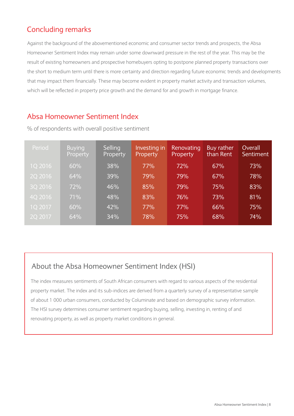# Concluding remarks

Against the background of the abovementioned economic and consumer sector trends and prospects, the Absa Homeowner Sentiment Index may remain under some downward pressure in the rest of the year. This may be the result of existing homeowners and prospective homebuyers opting to postpone planned property transactions over the short to medium term until there is more certainty and direction regarding future economic trends and developments that may impact them financially. These may become evident in property market activity and transaction volumes, which will be reflected in property price growth and the demand for and growth in mortgage finance.

## Absa Homeowner Sentiment Index

| Period  | <b>Buying</b><br>Property | Selling<br>Property | Investing in<br>Property | Renovating<br>Property | Buy rather<br>than Rent | Overall<br><b>Sentiment</b> |
|---------|---------------------------|---------------------|--------------------------|------------------------|-------------------------|-----------------------------|
| 1Q 2016 | 60%                       | 38%                 | 77%                      | 72%                    | 67%                     | 73%                         |
| 2Q 2016 | 64%                       | 39%                 | 79%                      | 79%                    | 67%                     | 78%                         |
| 3Q 2016 | 72%                       | 46%                 | 85%                      | 79%                    | 75%                     | 83%                         |
| 4Q 2016 | 71%                       | 48%                 | 83%                      | 76%                    | 73%                     | 81%                         |
| 1Q 2017 | 60%                       | 42%                 | 77%                      | 77%                    | 66%                     | 75%                         |
| 2Q 2017 | 64%                       | 34%                 | 78%                      | 75%                    | 68%                     | 74%                         |

% of respondents with overall positive sentiment

# About the Absa Homeowner Sentiment Index (HSI)

The index measures sentiments of South African consumers with regard to various aspects of the residential property market. The index and its sub-indices are derived from a quarterly survey of a representative sample of about 1 000 urban consumers, conducted by Columinate and based on demographic survey information. The HSI survey determines consumer sentiment regarding buying, selling, investing in, renting of and renovating property, as well as property market conditions in general.